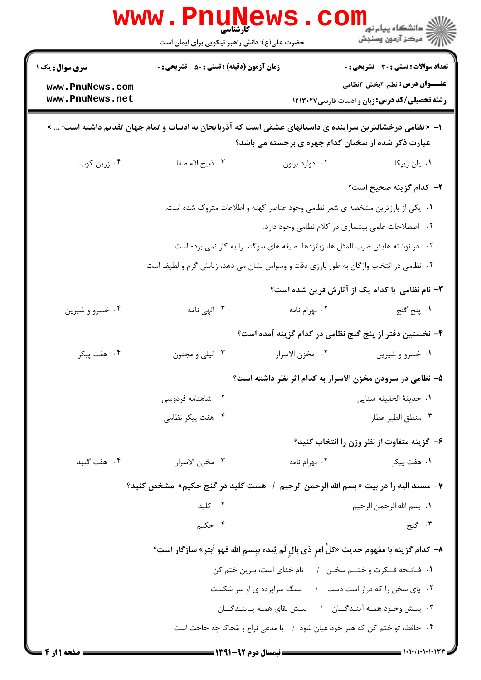|                                    | <b>www.Pnur</b><br><b>کارشناسی</b><br>حضرت علی(ع): دانش راهبر نیکویی برای ایمان است                        |                                                                                 | ڪ دانشڪاه پيام نور<br>ا∛ مرڪز آزمون وسنڊش                                                     |
|------------------------------------|------------------------------------------------------------------------------------------------------------|---------------------------------------------------------------------------------|-----------------------------------------------------------------------------------------------|
| <b>سری سوال :</b> یک ۱             | <b>زمان آزمون (دقیقه) : تستی : 50 ٪ تشریحی : 0</b>                                                         |                                                                                 | <b>تعداد سوالات : تستی : 30 ٪ تشریحی : 0</b>                                                  |
| www.PnuNews.com<br>www.PnuNews.net |                                                                                                            |                                                                                 | <b>عنـــوان درس:</b> نظم 3بخش 2نظامی<br><b>رشته تحصیلی/کد درس:</b> زبان و ادبیات فارسی1۲۱۳۰۲۷ |
|                                    | ا− « نظامی درخشانترین سراینده ی داستانهای عشقی است که آذربایجان به ادبیات و تمام جهان تقدیم داشته است؛ … » | عبارت ذکر شده از سخنان کدام چهره ی برجسته می باشد؟                              |                                                                                               |
| ۰۴ زرین کوب                        | ۰۳ ذبیح الله صفا                                                                                           | ٠٢ ادوارد براون                                                                 | ۰۱ يان ريپکا                                                                                  |
|                                    |                                                                                                            |                                                                                 | ۲– کدام گزینه صحیح است؟                                                                       |
|                                    |                                                                                                            | ۰۱ یکی از بارزترین مشخصه ی شعر نظامی وجود عناصر کهنه و اطلاعات متروک شده است.   |                                                                                               |
|                                    |                                                                                                            |                                                                                 | ٠٢ اصطلاحات علمي بيشماري در كلام نظامي وجود دارد.                                             |
|                                    |                                                                                                            | ۰۳ در نوشته هایش ضرب المثل ها، زبانزدها، صیغه های سوگند را به کار نمی برده است. |                                                                                               |
|                                    | ۰۴ نظامی در انتخاب واژگان به طور بارزی دقت و وسواس نشان می دهد، زبانش گرم و لطیف است.                      |                                                                                 |                                                                                               |
|                                    |                                                                                                            |                                                                                 | ۳- نام نظامی با کدام یک از آثارش قرین شده است؟                                                |
| ۰۴ خسرو و شیرین                    | ۰۳ الهی نامه                                                                                               | ۰۲ بهرام نامه                                                                   | 1. پنج گنج                                                                                    |
|                                    |                                                                                                            |                                                                                 | ۴– نخستین دفتر از پنج گنج نظامی در کدام گزینه آمده است؟                                       |
| ۰۴ هفت پیکر                        | ۰۳ لیلي و مجنون                                                                                            | ٠٢ مخزن الاسرار                                                                 | ۰۱ خسرو و شیرین                                                                               |
|                                    |                                                                                                            |                                                                                 | ۵– نظامی در سرودن مخزن الاسرار به کدام اثر نظر داشته است؟                                     |
|                                    | ۰۲ شاهنامه فردوسی                                                                                          |                                                                                 | ٠١. حديقة الحقيقه سناي <sub>م</sub>                                                           |
|                                    | ۰۴ هفت پیکر نظامی                                                                                          |                                                                                 | ٠٣ منطق الطير عطار                                                                            |
|                                    |                                                                                                            |                                                                                 | ۶– گزینه متفاوت از نظر وزن را انتخاب کنید؟                                                    |
| ۰۴ هفت گنبد                        | ٠٣ مخزن الاسرار                                                                                            | ۰۲ بهرام نامه                                                                   | ۰۱ هفت پیکر                                                                                   |
|                                    | ٧- مسند اليه را در بيت « بسم الله الرحمن الرحيم  /   هست كليد در گنج حكيم»  مشخص كنيد؟                     |                                                                                 |                                                                                               |
|                                    | ۰۲ کلید                                                                                                    |                                                                                 | ٠١. بسم الله الرحمن الرحيم                                                                    |
|                                    | ۰۴ حکیم                                                                                                    |                                                                                 | ۰۳ گنج                                                                                        |
|                                    | ٨– كدام گزينه با مفهوم حديث «كلَّ امرٍ ذي بالٍ لَم يُبدء ببِسمِ الله فهو اَبتر» سازگار است؟                |                                                                                 |                                                                                               |
|                                    |                                                                                                            | ١. فـاتـحه فــكرت و ختـــم سخـن ١ ٪ نام خداى است، بـرين ختم كن                  |                                                                                               |
|                                    |                                                                                                            | ۰۲ پای سخن را که دراز است دست ۱ مسنگ سراپرده ی او سر شکست                       |                                                                                               |
|                                    |                                                                                                            | ۰۳ پیش وجود همه آیندگـان ۱ بیش بقای همـه پـاینـدگـان                            |                                                                                               |
|                                    |                                                                                                            | ۰۴ حافظ، تو ختم کن که هنر خود عیان شود ۱ با مدعی نزاع و مُحاکا چه حاجت است      |                                                                                               |
| <b>: صفحه ۱ از 4 ==</b>            | = نیمسال دوم 92-1391 =                                                                                     |                                                                                 | $=$ ۱۰۱۰/۱۰۱۰۱۰۱۳۳                                                                            |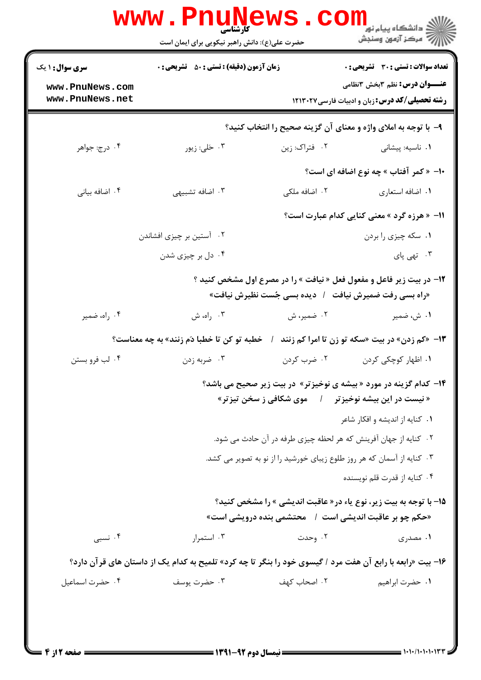| <b>سری سوال : ۱ یک</b><br><b>زمان آزمون (دقیقه) : تستی : 50 ٪ تشریحی : 0</b><br><b>عنـــوان درس:</b> نظم 3بخش 2نظامی<br>www.PnuNews.com<br>www.PnuNews.net<br><b>رشته تحصیلی/کد درس:</b> زبان و ادبیات فارسی ۱۲۱۳۰۲۷<br>۹- با توجه به املای واژه و معنای آن گزینه صحیح را انتخاب کنید؟<br>۰۴ درج: جواهر<br>۰۳ ځلی: زیور<br>۰۲ فتراک: زين<br>۰۱ ناسیه: پیشانی<br>+ا- « کمر آفتاب » چه نوع اضافه ای است؟<br>۰۳ اضافه تشبیهی<br>۰۴ اضافه بیانی<br>۰۲ اضافه ملکی<br>٠١ اضافه استعارى<br>11- « هرزه گرد » معنی کنایی کدام عبارت است؟<br>۰۲ آستین بر چیزی افشاندن<br>۰۱ سکه چیزی را بردن<br>۰۴ دل بر چیزی شدن<br>۰۳ تهی پای<br>۱۲- در بیت زیر فاعل و مفعول فعل « نیافت » را در مصرع اول مشخص کنید ؟<br>«راه بسی رفت ضمیرش نیافت ٪ دیده بسی جُست نظیرش نیافت»<br>۰۳ راه، ش<br>۰۴ راه، ضمیر<br>۰۲ ضمیر، ش<br>۰۱ ش، ضمیر<br>خطبه تو کن تا خطبا دَم زنند» به چه معناست؟<br>13- «کم زدن» در بیت «سکه تو زن تا امرا کم زنند<br>۰۲ ضرب کردن<br>۰۴ لب فرو بستن<br>۰۳ ضربه زدن<br>۰۱ اظهار کوچکی کردن<br><b>۱۴</b> - کدام گزینه در مورد «بیشه ی نوخیزتر» در بیت زیر صحیح می باشد؟<br>« نیست در این بیشه نوخیزتر گیل هوی شکافی ز سخن تیزتر»<br>٠١ كنايه از انديشه و افكار شاعر<br>۰۲ کنایه از جهان آفرینش که هر لحظه چیزی طرفه در آن حادث می شود.<br>۰۳ کنایه از آسمان که هر روز طلوع زیبای خورشید را از نو به تصویر می کشد.<br>۰۴ کنایه از قدرت قلم نویسنده<br>1۵- با توجه به بیت زیر، نوع یاء در« عاقبت اندیشی » را مشخص کنید؟<br>«حکم چو بر عاقبت اندیشی است ۱٪ محتشمی بنده درویشی است»<br>۰۳ استمرار<br>۰۲ وحدت<br>۰۴ نسبی<br>۱. مصدری<br>۱۶- بیت «رابعه با رابع آن هفت مرد / گیسوی خود را بنگر تا چه کرد» تلمیح به کدام یک از داستان های قرآن دارد؟ |                 | <b>www.PnuNews</b><br><b>کارشناسی</b><br>حضرت علی(ع): دانش راهبر نیکویی برای ایمان است |              | ڪ دانشڪاه پيا <sub>م</sub> نور<br><mark>√</mark> مرڪز آزمون وسنڊش |  |
|------------------------------------------------------------------------------------------------------------------------------------------------------------------------------------------------------------------------------------------------------------------------------------------------------------------------------------------------------------------------------------------------------------------------------------------------------------------------------------------------------------------------------------------------------------------------------------------------------------------------------------------------------------------------------------------------------------------------------------------------------------------------------------------------------------------------------------------------------------------------------------------------------------------------------------------------------------------------------------------------------------------------------------------------------------------------------------------------------------------------------------------------------------------------------------------------------------------------------------------------------------------------------------------------------------------------------------------------------------------------------------------------------------------------------------------------------------------------------------------------------------------------------------------------------------------------------------------------------------------------------------------|-----------------|----------------------------------------------------------------------------------------|--------------|-------------------------------------------------------------------|--|
|                                                                                                                                                                                                                                                                                                                                                                                                                                                                                                                                                                                                                                                                                                                                                                                                                                                                                                                                                                                                                                                                                                                                                                                                                                                                                                                                                                                                                                                                                                                                                                                                                                          |                 |                                                                                        |              | <b>تعداد سوالات : تستی : 30 ٪ تشریحی : 0</b>                      |  |
|                                                                                                                                                                                                                                                                                                                                                                                                                                                                                                                                                                                                                                                                                                                                                                                                                                                                                                                                                                                                                                                                                                                                                                                                                                                                                                                                                                                                                                                                                                                                                                                                                                          |                 |                                                                                        |              |                                                                   |  |
|                                                                                                                                                                                                                                                                                                                                                                                                                                                                                                                                                                                                                                                                                                                                                                                                                                                                                                                                                                                                                                                                                                                                                                                                                                                                                                                                                                                                                                                                                                                                                                                                                                          |                 |                                                                                        |              |                                                                   |  |
|                                                                                                                                                                                                                                                                                                                                                                                                                                                                                                                                                                                                                                                                                                                                                                                                                                                                                                                                                                                                                                                                                                                                                                                                                                                                                                                                                                                                                                                                                                                                                                                                                                          |                 |                                                                                        |              |                                                                   |  |
|                                                                                                                                                                                                                                                                                                                                                                                                                                                                                                                                                                                                                                                                                                                                                                                                                                                                                                                                                                                                                                                                                                                                                                                                                                                                                                                                                                                                                                                                                                                                                                                                                                          |                 |                                                                                        |              |                                                                   |  |
|                                                                                                                                                                                                                                                                                                                                                                                                                                                                                                                                                                                                                                                                                                                                                                                                                                                                                                                                                                                                                                                                                                                                                                                                                                                                                                                                                                                                                                                                                                                                                                                                                                          |                 |                                                                                        |              |                                                                   |  |
|                                                                                                                                                                                                                                                                                                                                                                                                                                                                                                                                                                                                                                                                                                                                                                                                                                                                                                                                                                                                                                                                                                                                                                                                                                                                                                                                                                                                                                                                                                                                                                                                                                          |                 |                                                                                        |              |                                                                   |  |
|                                                                                                                                                                                                                                                                                                                                                                                                                                                                                                                                                                                                                                                                                                                                                                                                                                                                                                                                                                                                                                                                                                                                                                                                                                                                                                                                                                                                                                                                                                                                                                                                                                          |                 |                                                                                        |              |                                                                   |  |
|                                                                                                                                                                                                                                                                                                                                                                                                                                                                                                                                                                                                                                                                                                                                                                                                                                                                                                                                                                                                                                                                                                                                                                                                                                                                                                                                                                                                                                                                                                                                                                                                                                          |                 |                                                                                        |              |                                                                   |  |
|                                                                                                                                                                                                                                                                                                                                                                                                                                                                                                                                                                                                                                                                                                                                                                                                                                                                                                                                                                                                                                                                                                                                                                                                                                                                                                                                                                                                                                                                                                                                                                                                                                          |                 |                                                                                        |              |                                                                   |  |
|                                                                                                                                                                                                                                                                                                                                                                                                                                                                                                                                                                                                                                                                                                                                                                                                                                                                                                                                                                                                                                                                                                                                                                                                                                                                                                                                                                                                                                                                                                                                                                                                                                          |                 |                                                                                        |              |                                                                   |  |
|                                                                                                                                                                                                                                                                                                                                                                                                                                                                                                                                                                                                                                                                                                                                                                                                                                                                                                                                                                                                                                                                                                                                                                                                                                                                                                                                                                                                                                                                                                                                                                                                                                          |                 |                                                                                        |              |                                                                   |  |
|                                                                                                                                                                                                                                                                                                                                                                                                                                                                                                                                                                                                                                                                                                                                                                                                                                                                                                                                                                                                                                                                                                                                                                                                                                                                                                                                                                                                                                                                                                                                                                                                                                          |                 |                                                                                        |              |                                                                   |  |
|                                                                                                                                                                                                                                                                                                                                                                                                                                                                                                                                                                                                                                                                                                                                                                                                                                                                                                                                                                                                                                                                                                                                                                                                                                                                                                                                                                                                                                                                                                                                                                                                                                          |                 |                                                                                        |              |                                                                   |  |
|                                                                                                                                                                                                                                                                                                                                                                                                                                                                                                                                                                                                                                                                                                                                                                                                                                                                                                                                                                                                                                                                                                                                                                                                                                                                                                                                                                                                                                                                                                                                                                                                                                          |                 |                                                                                        |              |                                                                   |  |
|                                                                                                                                                                                                                                                                                                                                                                                                                                                                                                                                                                                                                                                                                                                                                                                                                                                                                                                                                                                                                                                                                                                                                                                                                                                                                                                                                                                                                                                                                                                                                                                                                                          |                 |                                                                                        |              |                                                                   |  |
|                                                                                                                                                                                                                                                                                                                                                                                                                                                                                                                                                                                                                                                                                                                                                                                                                                                                                                                                                                                                                                                                                                                                                                                                                                                                                                                                                                                                                                                                                                                                                                                                                                          |                 |                                                                                        |              |                                                                   |  |
|                                                                                                                                                                                                                                                                                                                                                                                                                                                                                                                                                                                                                                                                                                                                                                                                                                                                                                                                                                                                                                                                                                                                                                                                                                                                                                                                                                                                                                                                                                                                                                                                                                          |                 |                                                                                        |              |                                                                   |  |
|                                                                                                                                                                                                                                                                                                                                                                                                                                                                                                                                                                                                                                                                                                                                                                                                                                                                                                                                                                                                                                                                                                                                                                                                                                                                                                                                                                                                                                                                                                                                                                                                                                          |                 |                                                                                        |              |                                                                   |  |
|                                                                                                                                                                                                                                                                                                                                                                                                                                                                                                                                                                                                                                                                                                                                                                                                                                                                                                                                                                                                                                                                                                                                                                                                                                                                                                                                                                                                                                                                                                                                                                                                                                          |                 |                                                                                        |              |                                                                   |  |
|                                                                                                                                                                                                                                                                                                                                                                                                                                                                                                                                                                                                                                                                                                                                                                                                                                                                                                                                                                                                                                                                                                                                                                                                                                                                                                                                                                                                                                                                                                                                                                                                                                          |                 |                                                                                        |              |                                                                   |  |
|                                                                                                                                                                                                                                                                                                                                                                                                                                                                                                                                                                                                                                                                                                                                                                                                                                                                                                                                                                                                                                                                                                                                                                                                                                                                                                                                                                                                                                                                                                                                                                                                                                          | ۰۴ حضرت اسماعیل | ۰۳ حضرت یوسف                                                                           | ۰۲ اصحاب کهف | ٠١. حضرت ابراهيم                                                  |  |

 $= 1.1$   $(1.1)$   $(1.1)$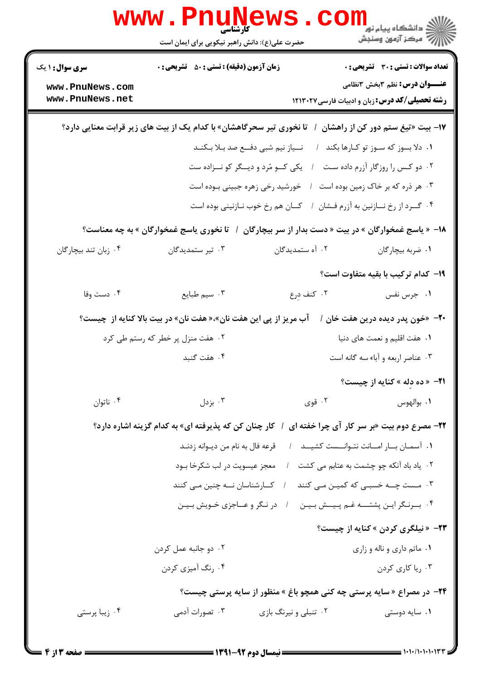|                                                                               | www . Pn<br><b>کارشناسی</b><br>حضرت علی(ع): دانش راهبر نیکویی برای ایمان است |                       | راد دانشگاه پيام نور <mark>−</mark><br>ا∛ مرکز آزمون وسنجش                                    |  |
|-------------------------------------------------------------------------------|------------------------------------------------------------------------------|-----------------------|-----------------------------------------------------------------------------------------------|--|
| <b>سری سوال : ۱ یک</b>                                                        | <b>زمان آزمون (دقیقه) : تستی : 50 ٪ تشریحی : 0</b>                           |                       | <b>تعداد سوالات : تستی : 30 ٪ تشریحی : 0</b>                                                  |  |
| www.PnuNews.com<br>www.PnuNews.net                                            |                                                                              |                       | <b>عنـــوان درس:</b> نظم ۳بخش ۳نظامی<br><b>رشته تحصیلی/کد درس:</b> زبان و ادبیات فارسی۱۲۱۳۰۲۷ |  |
|                                                                               | <b>تا نخوری تیر سحرگاهشان» با کدام یک از بیت های زیر قرابت معنایی دارد؟</b>  |                       | ۱۷– بیت «تیغ ستم دور کن از راهشان                                                             |  |
|                                                                               | نــياز نيم شبي دفــع صد بـلا بـكنـد                                          |                       | ۰۱ دلا بسوز که سـوز تو کـارها بکند                                                            |  |
|                                                                               | یکی کو مُرد و دیسگر کو نــزاده ست                                            |                       | ۰۲ دو کس را روزگار آزرم داده ست                                                               |  |
|                                                                               | خورشید رخی زهره جبینی بوده است                                               |                       | ۰۳ هر ذره که بر خاک زمین بوده است                                                             |  |
|                                                                               | كـان هم رخ خوب نـازنيني بوده است                                             |                       | ۰۴ گـرد از رخ نــازنين به آزرم فـشان                                                          |  |
|                                                                               | تا نخوری یاسج غمخوارگان » به چه معناست؟                                      |                       | ۱۸– « یاسج غمخوارگان » در بیت « دست بدار از سر بیچارگان                                       |  |
| ۰۴ زبان تند بیچارگان                                                          | ۰۳ تیر ستمدیدگان                                                             | ۰۲ آه ستمدیدگان       | ۰۱ ضربه بیچارگان                                                                              |  |
|                                                                               |                                                                              |                       | ۱۹- کدام ترکیب با بقیه متفاوت است؟                                                            |  |
| ۰۴ دست وفا                                                                    | ۰۳ سیم طبایع                                                                 | ۰۲ کنف درع            | ۰۱ جرس نفس                                                                                    |  |
|                                                                               | آب مریز از پی این هفت نان»،« هفت نان» در بیت بالا کنایه از  چیست؟            |                       | <b>-۲-</b> «خون پدر دیده درین هفت خان /                                                       |  |
|                                                                               | ۰۲ هفت منزل پر خطر که رستم طی کرد                                            |                       | ۰۱ هفت اقلیم و نعمت های دنیا                                                                  |  |
|                                                                               | ۰۴ هفت گنبد                                                                  |                       | ۰۳ عناصر اربعه و آباء سه گانه است                                                             |  |
|                                                                               |                                                                              |                       | <b>٢١-</b> «ده دله » کنايه از چيست؟                                                           |  |
| ۰۴ ناتوان                                                                     | ۰۳ بزدل $\cdot$                                                              | ۰۲ قوی                | ٠١. بوالهوس                                                                                   |  |
|                                                                               | / کار چنان کن که پذیرفته ای» به کدام گزینه اشاره دارد؟                       |                       | <b>۲۲-</b> مصرع دوم بیت «بر سر کار آی چرا خفته ای                                             |  |
|                                                                               | قرعه فال به نام من ديـوانه زدنـد                                             |                       | ٠١ آسمان بار امانت نتوانست كشيـد ١                                                            |  |
|                                                                               | معجز عيسويت در لب شكرخا بود                                                  |                       | ۲. یاد باد آنکه چو چشمت به عتابم می کشت                                                       |  |
|                                                                               | کارشناسان نه چنین می کنند                                                    |                       | ۳. مـست چــه خسبـی که کمیـن مـی کنند                                                          |  |
|                                                                               | در نگر و عــاجزی خـویش بـیـن                                                 |                       | ۰۴ برنگراين پشتــه غـم پـيــش بـيـن                                                           |  |
|                                                                               |                                                                              |                       | <b>۲۳</b> - «نیلگری کردن » کنایه از چیست؟                                                     |  |
|                                                                               | ۰۲ دو جانبه عمل کردن                                                         |                       | ۰۱ ماتم داري و ناله و زاري                                                                    |  |
|                                                                               | ۰۴ رنگ آمیزی کردن                                                            |                       | ۰۳ ریا کاری کردن                                                                              |  |
| <b>۲۴</b> - در مصراع « سایه پرستی چه کنی همچو باغ » منظور از سایه پرستی چیست؟ |                                                                              |                       |                                                                                               |  |
| ۰۴ زیبا پرستی                                                                 | ۰۳ تصورات آدمی                                                               | ۰۲ تنبلی و نیرنگ بازی | ۰۱ سایه دوستی                                                                                 |  |
|                                                                               |                                                                              |                       |                                                                                               |  |